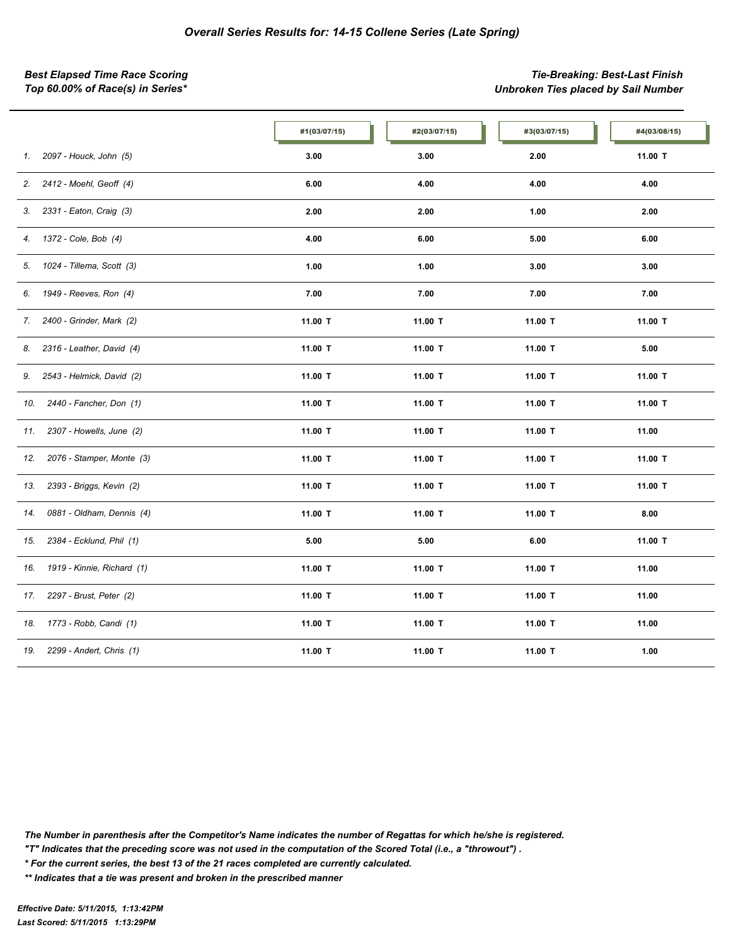*Best Elapsed Time Race Scoring Tie-Breaking: Best-Last Finish Top 60.00% of Race(s) in Series\* Unbroken Ties placed by Sail Number*

|     |                            | #1(03/07/15) | #2(03/07/15) | #3(03/07/15) | #4(03/08/15) |
|-----|----------------------------|--------------|--------------|--------------|--------------|
| 1.  | 2097 - Houck, John (5)     | 3.00         | 3.00         | 2.00         | 11.00 T      |
| 2.  | 2412 - Moehl, Geoff (4)    | 6.00         | 4.00         | 4.00         | 4.00         |
| 3.  | 2331 - Eaton, Craig (3)    | 2.00         | 2.00         | 1.00         | 2.00         |
| 4.  | 1372 - Cole, Bob (4)       | 4.00         | 6.00         | 5.00         | 6.00         |
| 5.  | 1024 - Tillema, Scott (3)  | 1.00         | 1.00         | 3.00         | 3.00         |
| 6.  | 1949 - Reeves, Ron (4)     | 7.00         | 7.00         | 7.00         | 7.00         |
| 7.  | 2400 - Grinder, Mark (2)   | 11.00 T      | 11.00 T      | 11.00 T      | 11.00 T      |
| 8.  | 2316 - Leather, David (4)  | 11.00 T      | 11.00 T      | 11.00 T      | 5.00         |
| 9.  | 2543 - Helmick, David (2)  | 11.00 T      | 11.00 T      | 11.00 T      | 11.00 T      |
| 10. | 2440 - Fancher, Don (1)    | 11.00 T      | 11.00 T      | 11.00 T      | 11.00 T      |
| 11. | 2307 - Howells, June (2)   | 11.00 T      | 11.00 T      | 11.00 T      | 11.00        |
| 12. | 2076 - Stamper, Monte (3)  | 11.00 T      | 11.00 T      | 11.00 T      | 11.00 T      |
| 13. | 2393 - Briggs, Kevin (2)   | 11.00 T      | 11.00 T      | 11.00 T      | 11.00 T      |
| 14. | 0881 - Oldham, Dennis (4)  | 11.00 T      | 11.00 T      | 11.00 T      | 8.00         |
| 15. | 2384 - Ecklund, Phil (1)   | 5.00         | 5.00         | 6.00         | 11.00 T      |
| 16. | 1919 - Kinnie, Richard (1) | 11.00 T      | 11.00 T      | 11.00 T      | 11.00        |
| 17. | 2297 - Brust, Peter (2)    | 11.00 T      | 11.00 T      | 11.00 T      | 11.00        |
| 18. | 1773 - Robb, Candi (1)     | 11.00 T      | 11.00 T      | 11.00 T      | 11.00        |
| 19. | 2299 - Andert, Chris (1)   | 11.00 T      | 11.00 T      | 11.00 T      | 1.00         |

*The Number in parenthesis after the Competitor's Name indicates the number of Regattas for which he/she is registered.*

*"T" Indicates that the preceding score was not used in the computation of the Scored Total (i.e., a "throwout") .*

*\* For the current series, the best 13 of the 21 races completed are currently calculated.*

*\*\* Indicates that a tie was present and broken in the prescribed manner*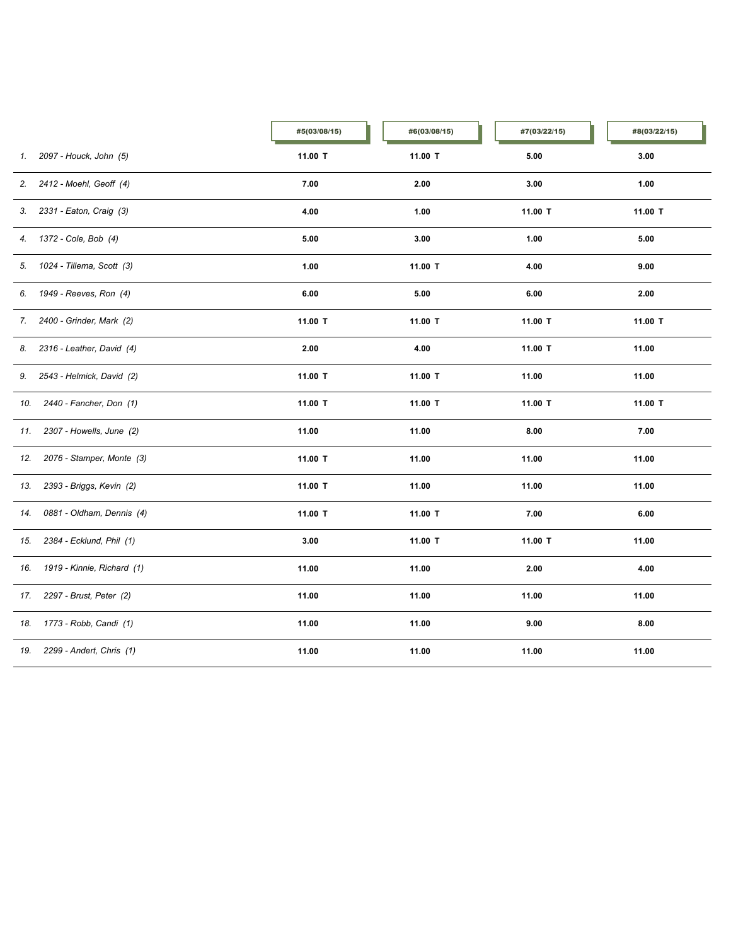|     |                              | #5(03/08/15) | #6(03/08/15) | #7(03/22/15) | #8(03/22/15) |
|-----|------------------------------|--------------|--------------|--------------|--------------|
| 1.  | 2097 - Houck, John (5)       | 11.00 T      | 11.00 T      | 5.00         | 3.00         |
|     | 2. 2412 - Moehl, Geoff (4)   | 7.00         | 2.00         | 3.00         | 1.00         |
|     | 3. 2331 - Eaton, Craig (3)   | 4.00         | 1.00         | 11.00 T      | 11.00 T      |
|     | 4. 1372 - Cole, Bob (4)      | 5.00         | 3.00         | 1.00         | 5.00         |
|     | 5. 1024 - Tillema, Scott (3) | 1.00         | 11.00 T      | 4.00         | 9.00         |
| 6.  | 1949 - Reeves, Ron (4)       | 6.00         | 5.00         | 6.00         | 2.00         |
| 7.  | 2400 - Grinder, Mark (2)     | 11.00 T      | 11.00 T      | 11.00 T      | 11.00 T      |
| 8.  | 2316 - Leather, David (4)    | 2.00         | 4.00         | 11.00 T      | 11.00        |
| 9.  | 2543 - Helmick, David (2)    | 11.00 T      | 11.00 T      | 11.00        | 11.00        |
| 10. | 2440 - Fancher, Don (1)      | 11.00 T      | 11.00 T      | 11.00 T      | 11.00 T      |
| 11. | 2307 - Howells, June (2)     | 11.00        | 11.00        | 8.00         | 7.00         |
| 12. | 2076 - Stamper, Monte (3)    | 11.00 T      | 11.00        | 11.00        | 11.00        |
| 13. | 2393 - Briggs, Kevin (2)     | 11.00 T      | 11.00        | 11.00        | 11.00        |
| 14. | 0881 - Oldham, Dennis (4)    | 11.00 T      | 11.00 T      | 7.00         | 6.00         |
| 15. | 2384 - Ecklund, Phil (1)     | 3.00         | 11.00 T      | 11.00 T      | 11.00        |
| 16. | 1919 - Kinnie, Richard (1)   | 11.00        | 11.00        | 2.00         | 4.00         |
| 17. | 2297 - Brust, Peter (2)      | 11.00        | 11.00        | 11.00        | 11.00        |
| 18. | 1773 - Robb, Candi (1)       | 11.00        | 11.00        | 9.00         | 8.00         |
| 19. | 2299 - Andert, Chris (1)     | 11.00        | 11.00        | 11.00        | 11.00        |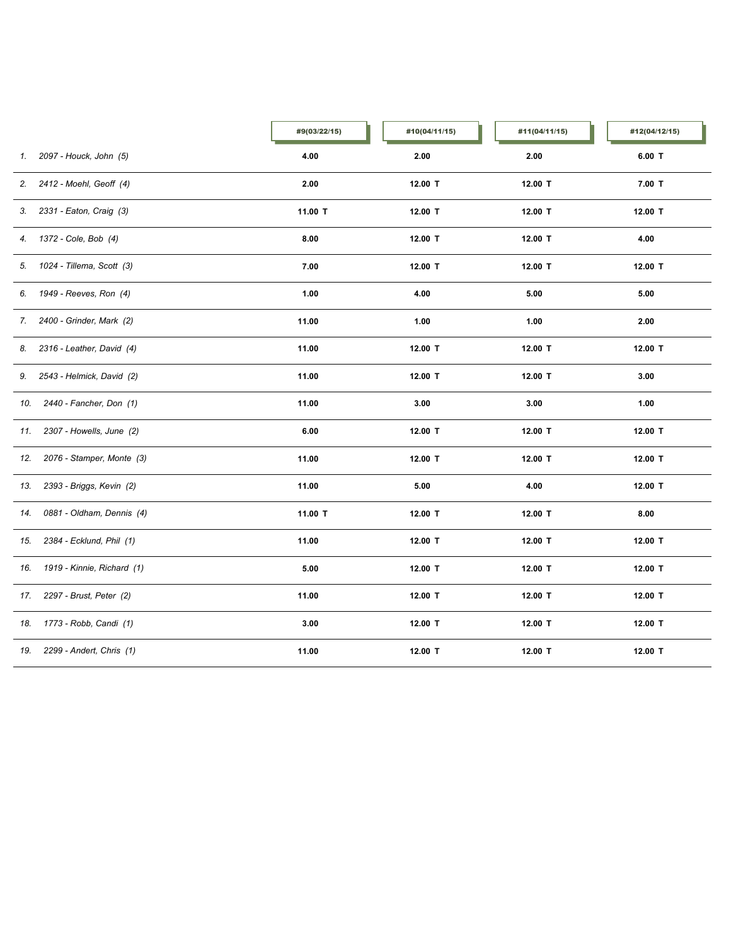|     |                              | #9(03/22/15) | #10(04/11/15) | #11(04/11/15) | #12(04/12/15) |
|-----|------------------------------|--------------|---------------|---------------|---------------|
| 1.  | 2097 - Houck, John (5)       | 4.00         | 2.00          | 2.00          | $6.00$ T      |
| 2.  | 2412 - Moehl, Geoff (4)      | 2.00         | 12.00 T       | 12.00 T       | $7.00$ T      |
|     | 3. 2331 - Eaton, Craig (3)   | 11.00 T      | 12.00 T       | 12.00 T       | 12.00 T       |
|     | 4. 1372 - Cole, Bob (4)      | 8.00         | 12.00 T       | 12.00 T       | 4.00          |
|     | 5. 1024 - Tillema, Scott (3) | 7.00         | 12.00 T       | 12.00 T       | 12.00 T       |
|     | 6. 1949 - Reeves, Ron (4)    | 1.00         | 4.00          | 5.00          | 5.00          |
| 7.  | 2400 - Grinder, Mark (2)     | 11.00        | 1.00          | 1.00          | 2.00          |
| 8.  | 2316 - Leather, David (4)    | 11.00        | 12.00 T       | 12.00 T       | 12.00 T       |
| 9.  | 2543 - Helmick, David (2)    | 11.00        | 12.00 T       | 12.00 T       | 3.00          |
| 10. | 2440 - Fancher, Don (1)      | 11.00        | 3.00          | 3.00          | 1.00          |
| 11. | 2307 - Howells, June (2)     | 6.00         | 12.00 T       | 12.00 T       | 12.00 T       |
| 12. | 2076 - Stamper, Monte (3)    | 11.00        | 12.00 T       | 12.00 T       | 12.00 T       |
| 13. | 2393 - Briggs, Kevin (2)     | 11.00        | 5.00          | 4.00          | 12.00 T       |
| 14. | 0881 - Oldham, Dennis (4)    | 11.00 T      | 12.00 T       | 12.00 T       | 8.00          |
| 15. | 2384 - Ecklund, Phil (1)     | 11.00        | 12.00 T       | 12.00 T       | 12.00 T       |
| 16. | 1919 - Kinnie, Richard (1)   | 5.00         | 12.00 T       | 12.00 T       | 12.00 T       |
| 17. | 2297 - Brust, Peter (2)      | 11.00        | 12.00 T       | 12.00 T       | 12.00 T       |
| 18. | 1773 - Robb, Candi (1)       | 3.00         | 12.00 T       | 12.00 T       | 12.00 T       |
| 19. | 2299 - Andert, Chris (1)     | 11.00        | 12.00 T       | 12.00 T       | 12.00 T       |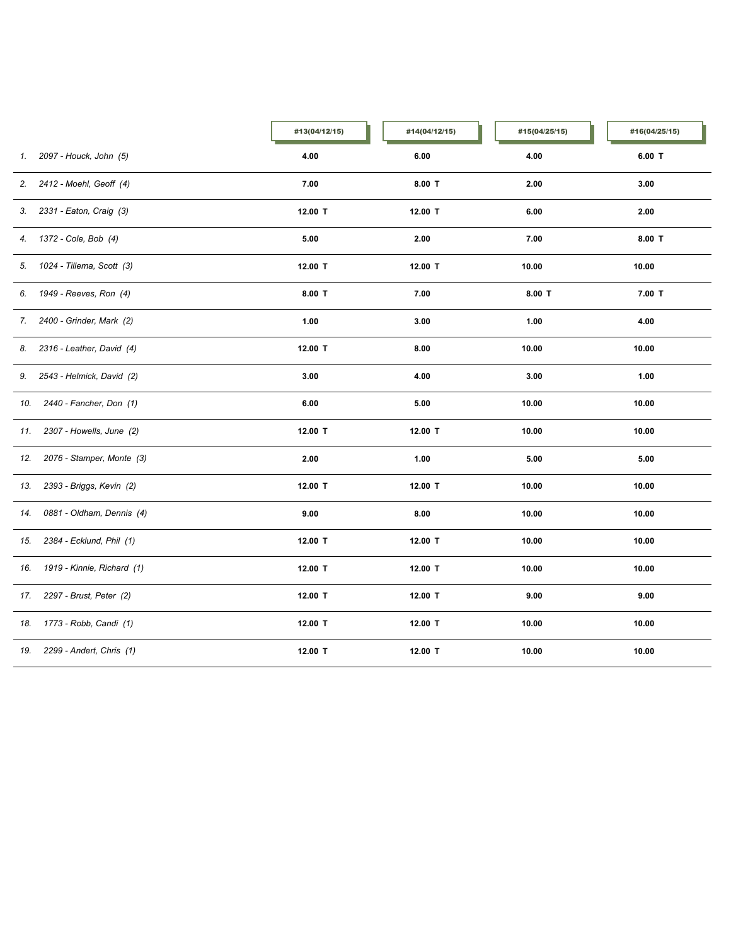|     |                              | #13(04/12/15) | #14(04/12/15) | #15(04/25/15) | #16(04/25/15) |
|-----|------------------------------|---------------|---------------|---------------|---------------|
| 1.  | 2097 - Houck, John (5)       | 4.00          | 6.00          | 4.00          | $6.00$ T      |
|     | 2. 2412 - Moehl, Geoff (4)   | 7.00          | $8.00$ T      | 2.00          | 3.00          |
|     | 3. 2331 - Eaton, Craig (3)   | 12.00 T       | 12.00 T       | 6.00          | 2.00          |
|     | 4. 1372 - Cole, Bob (4)      | 5.00          | 2.00          | 7.00          | $8.00$ T      |
|     | 5. 1024 - Tillema, Scott (3) | 12.00 T       | 12.00 T       | 10.00         | 10.00         |
| 6.  | 1949 - Reeves, Ron (4)       | $8.00$ T      | 7.00          | $8.00$ T      | $7.00$ T      |
| 7.  | 2400 - Grinder, Mark (2)     | 1.00          | 3.00          | 1.00          | 4.00          |
| 8.  | 2316 - Leather, David (4)    | 12.00 T       | 8.00          | 10.00         | 10.00         |
| 9.  | 2543 - Helmick, David (2)    | 3.00          | 4.00          | 3.00          | 1.00          |
| 10. | 2440 - Fancher, Don (1)      | 6.00          | 5.00          | 10.00         | 10.00         |
| 11. | 2307 - Howells, June (2)     | 12.00 T       | 12.00 T       | 10.00         | 10.00         |
| 12. | 2076 - Stamper, Monte (3)    | 2.00          | 1.00          | 5.00          | 5.00          |
| 13. | 2393 - Briggs, Kevin (2)     | 12.00 T       | 12.00 T       | 10.00         | 10.00         |
| 14. | 0881 - Oldham, Dennis (4)    | 9.00          | 8.00          | 10.00         | 10.00         |
| 15. | 2384 - Ecklund, Phil (1)     | 12.00 T       | 12.00 T       | 10.00         | 10.00         |
| 16. | 1919 - Kinnie, Richard (1)   | 12.00 T       | 12.00 T       | 10.00         | 10.00         |
| 17. | 2297 - Brust, Peter (2)      | 12.00 T       | 12.00 T       | 9.00          | 9.00          |
| 18. | 1773 - Robb, Candi (1)       | 12.00 T       | 12.00 T       | 10.00         | 10.00         |
| 19. | 2299 - Andert, Chris (1)     | 12.00 T       | 12.00 T       | 10.00         | 10.00         |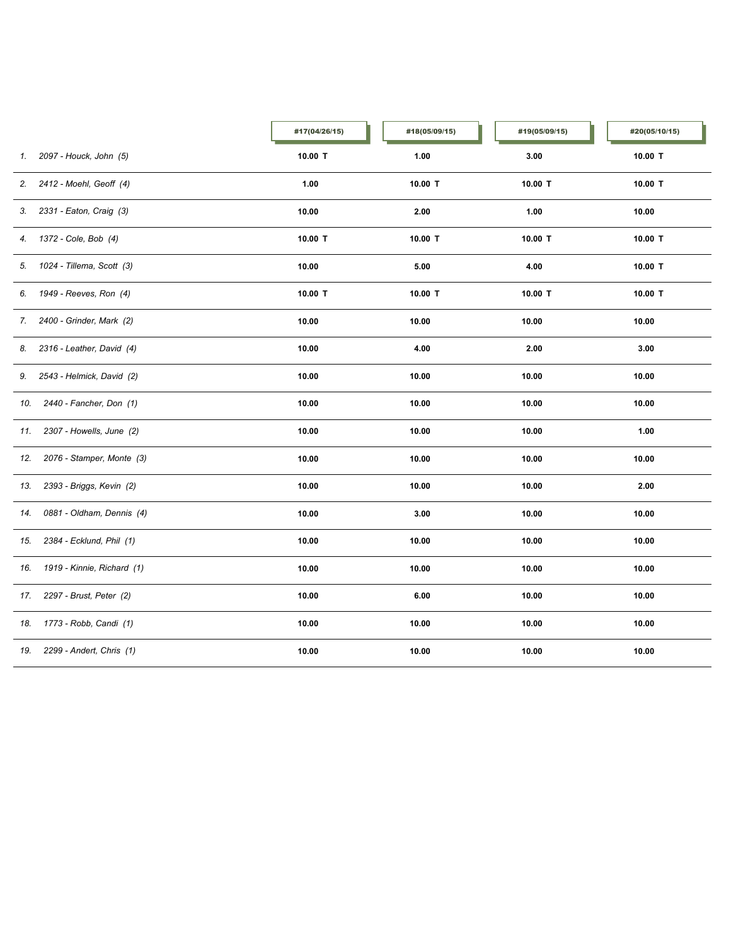|     |                              | #17(04/26/15) | #18(05/09/15) | #19(05/09/15) | #20(05/10/15) |
|-----|------------------------------|---------------|---------------|---------------|---------------|
| 1.  | 2097 - Houck, John (5)       | 10.00 T       | 1.00          | 3.00          | 10.00 T       |
| 2.  | 2412 - Moehl, Geoff (4)      | 1.00          | 10.00 T       | 10.00 T       | 10.00 T       |
| 3.  | 2331 - Eaton, Craig (3)      | 10.00         | 2.00          | 1.00          | 10.00         |
|     | 4. 1372 - Cole, Bob (4)      | 10.00 T       | 10.00 T       | 10.00 T       | 10.00 $T$     |
|     | 5. 1024 - Tillema, Scott (3) | 10.00         | 5.00          | 4.00          | $10.00$ T     |
| 6.  | 1949 - Reeves, Ron (4)       | 10.00 T       | 10.00 T       | 10.00 T       | $10.00$ T     |
| 7.  | 2400 - Grinder, Mark (2)     | 10.00         | 10.00         | 10.00         | 10.00         |
| 8.  | 2316 - Leather, David (4)    | 10.00         | 4.00          | 2.00          | 3.00          |
| 9.  | 2543 - Helmick, David (2)    | 10.00         | 10.00         | 10.00         | 10.00         |
| 10. | 2440 - Fancher, Don (1)      | 10.00         | 10.00         | 10.00         | 10.00         |
| 11. | 2307 - Howells, June (2)     | 10.00         | 10.00         | 10.00         | 1.00          |
| 12. | 2076 - Stamper, Monte (3)    | 10.00         | 10.00         | 10.00         | 10.00         |
| 13. | 2393 - Briggs, Kevin (2)     | 10.00         | 10.00         | 10.00         | 2.00          |
| 14. | 0881 - Oldham, Dennis (4)    | 10.00         | 3.00          | 10.00         | 10.00         |
| 15. | 2384 - Ecklund, Phil (1)     | 10.00         | 10.00         | 10.00         | 10.00         |
| 16. | 1919 - Kinnie, Richard (1)   | 10.00         | 10.00         | 10.00         | 10.00         |
| 17. | 2297 - Brust, Peter (2)      | 10.00         | 6.00          | 10.00         | 10.00         |
|     | 18. 1773 - Robb, Candi (1)   | 10.00         | 10.00         | 10.00         | 10.00         |
| 19. | 2299 - Andert, Chris (1)     | 10.00         | 10.00         | 10.00         | 10.00         |